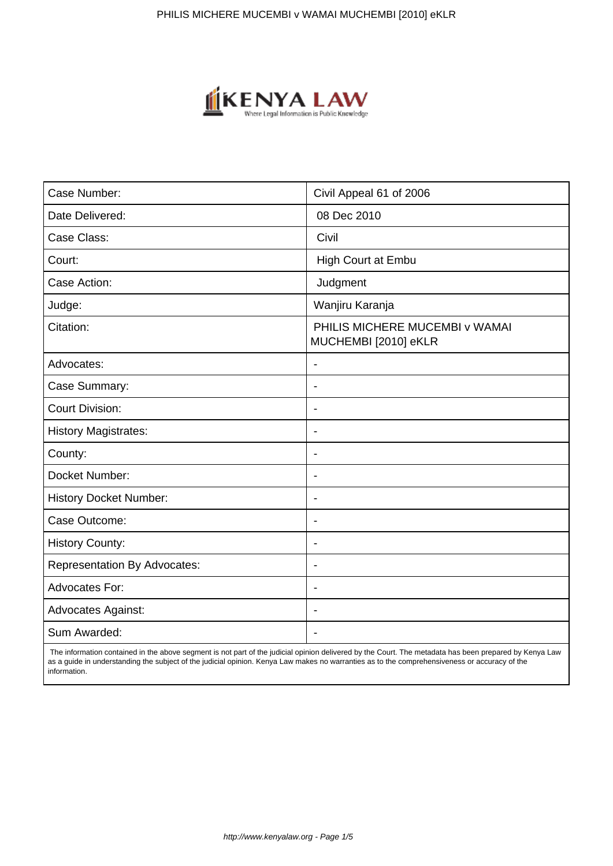

| Case Number:                        | Civil Appeal 61 of 2006                                |
|-------------------------------------|--------------------------------------------------------|
| Date Delivered:                     | 08 Dec 2010                                            |
| Case Class:                         | Civil                                                  |
| Court:                              | High Court at Embu                                     |
| Case Action:                        | Judgment                                               |
| Judge:                              | Wanjiru Karanja                                        |
| Citation:                           | PHILIS MICHERE MUCEMBI v WAMAI<br>MUCHEMBI [2010] eKLR |
| Advocates:                          |                                                        |
| Case Summary:                       | $\overline{\phantom{a}}$                               |
| <b>Court Division:</b>              |                                                        |
| <b>History Magistrates:</b>         | $\overline{\phantom{a}}$                               |
| County:                             | $\overline{\phantom{a}}$                               |
| Docket Number:                      | $\blacksquare$                                         |
| <b>History Docket Number:</b>       | $\blacksquare$                                         |
| Case Outcome:                       |                                                        |
| <b>History County:</b>              | $\overline{\phantom{a}}$                               |
| <b>Representation By Advocates:</b> | $\overline{\phantom{a}}$                               |
| Advocates For:                      | $\blacksquare$                                         |
| <b>Advocates Against:</b>           | $\overline{\phantom{0}}$                               |
| Sum Awarded:                        |                                                        |

 The information contained in the above segment is not part of the judicial opinion delivered by the Court. The metadata has been prepared by Kenya Law as a guide in understanding the subject of the judicial opinion. Kenya Law makes no warranties as to the comprehensiveness or accuracy of the information.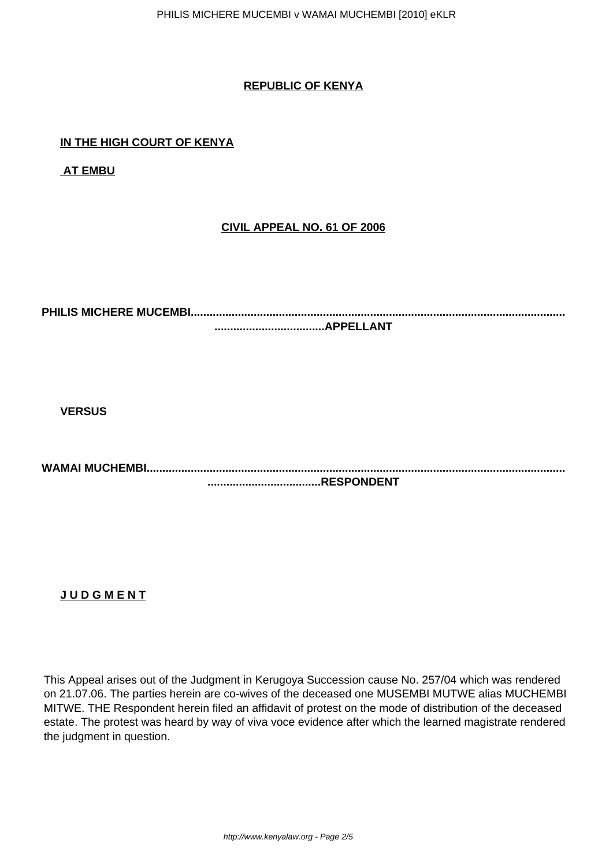## **REPUBLIC OF KENYA**

## **IN THE HIGH COURT OF KENYA**

**AT EMBU**

## **CIVIL APPEAL NO. 61 OF 2006**

**PHILIS MICHERE MUCEMBI....................................................................................................................... ...................................APPELLANT**

**VERSUS**

**WAMAI MUCHEMBI..................................................................................................................................... ....................................RESPONDENT**

**J U D G M E N T**

This Appeal arises out of the Judgment in Kerugoya Succession cause No. 257/04 which was rendered on 21.07.06. The parties herein are co-wives of the deceased one MUSEMBI MUTWE alias MUCHEMBI MITWE. THE Respondent herein filed an affidavit of protest on the mode of distribution of the deceased estate. The protest was heard by way of viva voce evidence after which the learned magistrate rendered the judgment in question.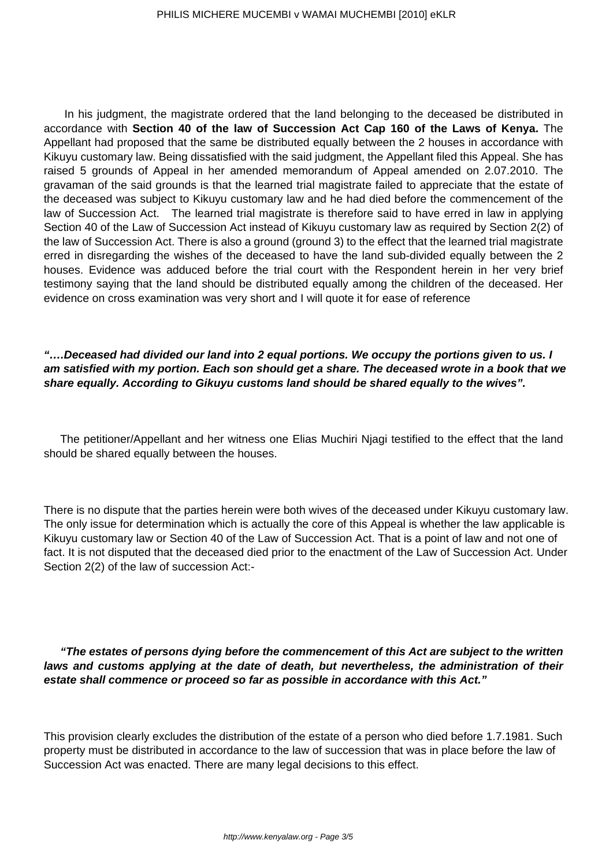In his judgment, the magistrate ordered that the land belonging to the deceased be distributed in accordance with **Section 40 of the law of Succession Act Cap 160 of the Laws of Kenya.** The Appellant had proposed that the same be distributed equally between the 2 houses in accordance with Kikuyu customary law. Being dissatisfied with the said judgment, the Appellant filed this Appeal. She has raised 5 grounds of Appeal in her amended memorandum of Appeal amended on 2.07.2010. The gravaman of the said grounds is that the learned trial magistrate failed to appreciate that the estate of the deceased was subject to Kikuyu customary law and he had died before the commencement of the law of Succession Act. The learned trial magistrate is therefore said to have erred in law in applying Section 40 of the Law of Succession Act instead of Kikuyu customary law as required by Section 2(2) of the law of Succession Act. There is also a ground (ground 3) to the effect that the learned trial magistrate erred in disregarding the wishes of the deceased to have the land sub-divided equally between the 2 houses. Evidence was adduced before the trial court with the Respondent herein in her very brief testimony saying that the land should be distributed equally among the children of the deceased. Her evidence on cross examination was very short and I will quote it for ease of reference

**"….Deceased had divided our land into 2 equal portions. We occupy the portions given to us. I am satisfied with my portion. Each son should get a share. The deceased wrote in a book that we share equally. According to Gikuyu customs land should be shared equally to the wives".**

The petitioner/Appellant and her witness one Elias Muchiri Njagi testified to the effect that the land should be shared equally between the houses.

There is no dispute that the parties herein were both wives of the deceased under Kikuyu customary law. The only issue for determination which is actually the core of this Appeal is whether the law applicable is Kikuyu customary law or Section 40 of the Law of Succession Act. That is a point of law and not one of fact. It is not disputed that the deceased died prior to the enactment of the Law of Succession Act. Under Section 2(2) of the law of succession Act:-

**"The estates of persons dying before the commencement of this Act are subject to the written laws and customs applying at the date of death, but nevertheless, the administration of their estate shall commence or proceed so far as possible in accordance with this Act."**

This provision clearly excludes the distribution of the estate of a person who died before 1.7.1981. Such property must be distributed in accordance to the law of succession that was in place before the law of Succession Act was enacted. There are many legal decisions to this effect.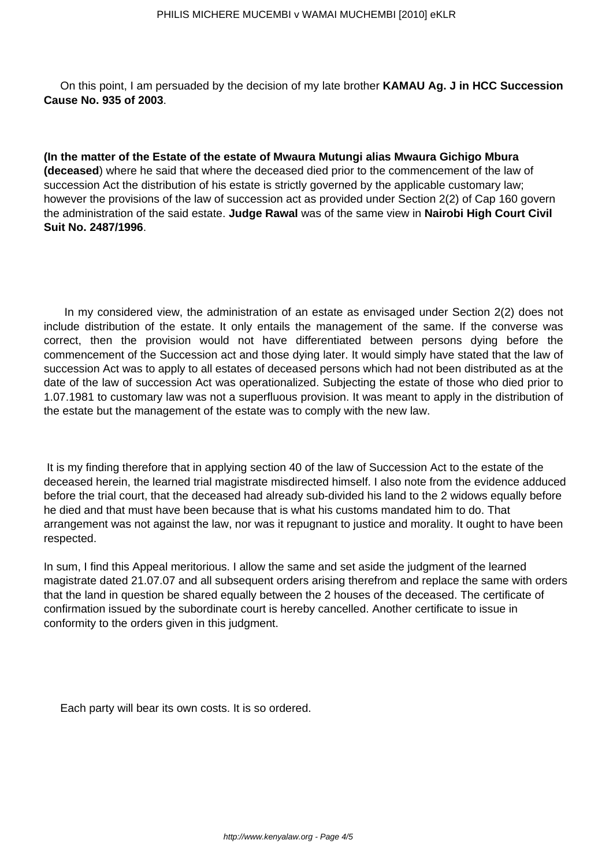On this point, I am persuaded by the decision of my late brother **KAMAU Ag. J in HCC Succession Cause No. 935 of 2003**.

**(In the matter of the Estate of the estate of Mwaura Mutungi alias Mwaura Gichigo Mbura (deceased**) where he said that where the deceased died prior to the commencement of the law of succession Act the distribution of his estate is strictly governed by the applicable customary law; however the provisions of the law of succession act as provided under Section 2(2) of Cap 160 govern the administration of the said estate. **Judge Rawal** was of the same view in **Nairobi High Court Civil Suit No. 2487/1996**.

In my considered view, the administration of an estate as envisaged under Section 2(2) does not include distribution of the estate. It only entails the management of the same. If the converse was correct, then the provision would not have differentiated between persons dying before the commencement of the Succession act and those dying later. It would simply have stated that the law of succession Act was to apply to all estates of deceased persons which had not been distributed as at the date of the law of succession Act was operationalized. Subjecting the estate of those who died prior to 1.07.1981 to customary law was not a superfluous provision. It was meant to apply in the distribution of the estate but the management of the estate was to comply with the new law.

It is my finding therefore that in applying section 40 of the law of Succession Act to the estate of the deceased herein, the learned trial magistrate misdirected himself. I also note from the evidence adduced before the trial court, that the deceased had already sub-divided his land to the 2 widows equally before he died and that must have been because that is what his customs mandated him to do. That arrangement was not against the law, nor was it repugnant to justice and morality. It ought to have been respected.

In sum, I find this Appeal meritorious. I allow the same and set aside the judgment of the learned magistrate dated 21.07.07 and all subsequent orders arising therefrom and replace the same with orders that the land in question be shared equally between the 2 houses of the deceased. The certificate of confirmation issued by the subordinate court is hereby cancelled. Another certificate to issue in conformity to the orders given in this judgment.

Each party will bear its own costs. It is so ordered.